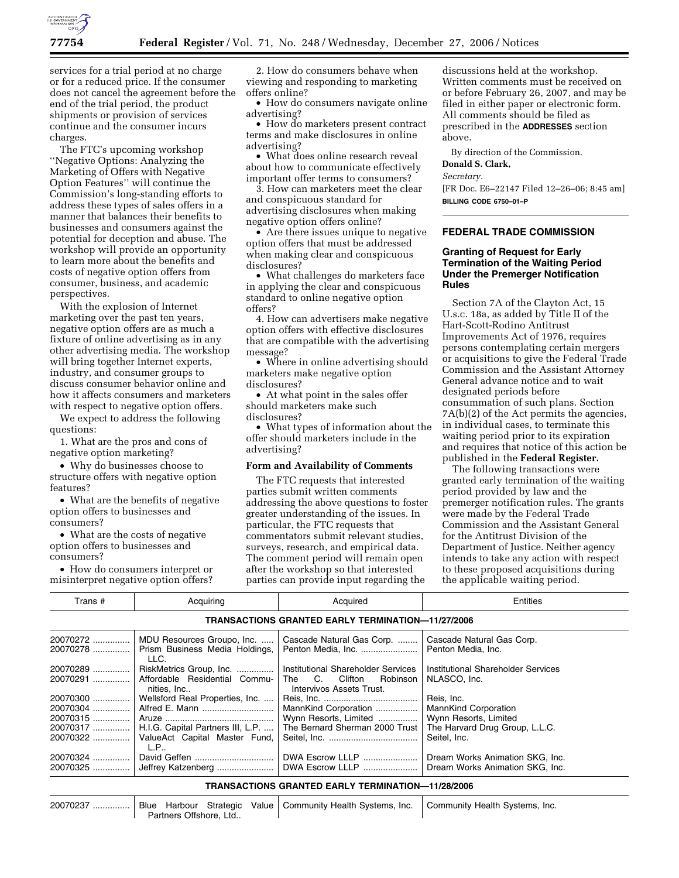

services for a trial period at no charge or for a reduced price. If the consumer does not cancel the agreement before the end of the trial period, the product shipments or provision of services continue and the consumer incurs charges.

The FTC's upcoming workshop ''Negative Options: Analyzing the Marketing of Offers with Negative Option Features'' will continue the Commission's long-standing efforts to address these types of sales offers in a manner that balances their benefits to businesses and consumers against the potential for deception and abuse. The workshop will provide an opportunity to learn more about the benefits and costs of negative option offers from consumer, business, and academic perspectives.

With the explosion of Internet marketing over the past ten years, negative option offers are as much a fixture of online advertising as in any other advertising media. The workshop will bring together Internet experts, industry, and consumer groups to discuss consumer behavior online and how it affects consumers and marketers with respect to negative option offers.

We expect to address the following questions:

1. What are the pros and cons of negative option marketing?

• Why do businesses choose to structure offers with negative option features?

• What are the benefits of negative option offers to businesses and consumers?

• What are the costs of negative option offers to businesses and consumers?

• How do consumers interpret or misinterpret negative option offers?

2. How do consumers behave when viewing and responding to marketing offers online?

• How do consumers navigate online advertising?

• How do marketers present contract terms and make disclosures in online advertising?

• What does online research reveal about how to communicate effectively important offer terms to consumers?

3. How can marketers meet the clear and conspicuous standard for advertising disclosures when making negative option offers online?

• Are there issues unique to negative option offers that must be addressed when making clear and conspicuous disclosures?

• What challenges do marketers face in applying the clear and conspicuous standard to online negative option offers?

4. How can advertisers make negative option offers with effective disclosures that are compatible with the advertising message?

• Where in online advertising should marketers make negative option disclosures?

• At what point in the sales offer should marketers make such disclosures?

• What types of information about the offer should marketers include in the advertising?

## **Form and Availability of Comments**

The FTC requests that interested parties submit written comments addressing the above questions to foster greater understanding of the issues. In particular, the FTC requests that commentators submit relevant studies, surveys, research, and empirical data. The comment period will remain open after the workshop so that interested parties can provide input regarding the

discussions held at the workshop. Written comments must be received on or before February 26, 2007, and may be filed in either paper or electronic form. All comments should be filed as prescribed in the **ADDRESSES** section above.

By direction of the Commission. **Donald S. Clark,** 

*Secretary.* 

[FR Doc. E6–22147 Filed 12–26–06; 8:45 am] **BILLING CODE 6750–01–P** 

## **FEDERAL TRADE COMMISSION**

## **Granting of Request for Early Termination of the Waiting Period Under the Premerger Notification Rules**

Section 7A of the Clayton Act, 15 U.s.c. 18a, as added by Title II of the Hart-Scott-Rodino Antitrust Improvements Act of 1976, requires persons contemplating certain mergers or acquisitions to give the Federal Trade Commission and the Assistant Attorney General advance notice and to wait designated periods before consummation of such plans. Section 7A(b)(2) of the Act permits the agencies, in individual cases, to terminate this waiting period prior to its expiration and requires that notice of this action be published in the **Federal Register.** 

The following transactions were granted early termination of the waiting period provided by law and the premerger notification rules. The grants were made by the Federal Trade Commission and the Assistant General for the Antitrust Division of the Department of Justice. Neither agency intends to take any action with respect to these proposed acquisitions during the applicable waiting period.

| Trans #                                                  | Acquiring                                                                                             | Acquired                                                                                     | Entities                                                                                                             |  |  |
|----------------------------------------------------------|-------------------------------------------------------------------------------------------------------|----------------------------------------------------------------------------------------------|----------------------------------------------------------------------------------------------------------------------|--|--|
| <b>TRANSACTIONS GRANTED EARLY TERMINATION-11/27/2006</b> |                                                                                                       |                                                                                              |                                                                                                                      |  |  |
| 20070272<br>20070278                                     | MDU Resources Groupo, Inc.<br>Prism Business Media Holdings,<br>LLC.                                  | Cascade Natural Gas Corp.<br>Penton Media, Inc.                                              | Cascade Natural Gas Corp.<br>Penton Media, Inc.                                                                      |  |  |
| 20070289<br>20070291                                     | RiskMetrics Group, Inc.<br>Affordable Residential Commu-<br>nities, Inc                               | Institutional Shareholder Services<br>The C. Clifton<br>Robinson<br>Intervivos Assets Trust. | Institutional Shareholder Services<br>NLASCO, Inc.                                                                   |  |  |
| 20070300<br>20070304<br>20070315<br>20070317<br>20070322 | Wellsford Real Properties, Inc.<br>H.I.G. Capital Partners III, L.P.<br>ValueAct Capital Master Fund, | MannKind Corporation<br>Wynn Resorts, Limited<br>The Bernard Sherman 2000 Trust              | Reis, Inc.<br><b>MannKind Corporation</b><br>Wynn Resorts, Limited<br>The Harvard Drug Group, L.L.C.<br>Seitel, Inc. |  |  |
| 20070324<br>20070325                                     | L.P<br>David Geffen                                                                                   | DWA Escrow LLLP                                                                              | Dream Works Animation SKG, Inc.<br>Dream Works Animation SKG, Inc.                                                   |  |  |
| <b>TRANSACTIONS GRANTED EARLY TERMINATION-11/28/2006</b> |                                                                                                       |                                                                                              |                                                                                                                      |  |  |

| 20070237 |  |                        | Blue Harbour Strategic Value   Community Health Systems, Inc.   Community Health Systems, Inc. |  |
|----------|--|------------------------|------------------------------------------------------------------------------------------------|--|
|          |  | Partners Offshore, Ltd |                                                                                                |  |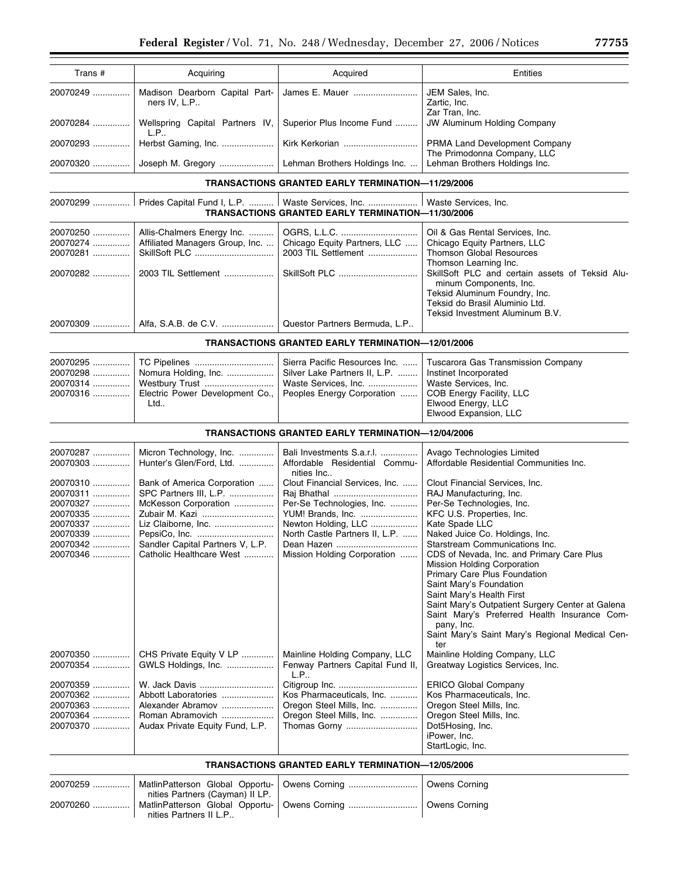| Trans #                                                                                      | Acquiring                                                                                                                                                                              | Acquired                                                                                                                                                                               | Entities                                                                                                                                                                                                                                                                                                                                                                                                                                                                                                                                                  |
|----------------------------------------------------------------------------------------------|----------------------------------------------------------------------------------------------------------------------------------------------------------------------------------------|----------------------------------------------------------------------------------------------------------------------------------------------------------------------------------------|-----------------------------------------------------------------------------------------------------------------------------------------------------------------------------------------------------------------------------------------------------------------------------------------------------------------------------------------------------------------------------------------------------------------------------------------------------------------------------------------------------------------------------------------------------------|
| 20070249                                                                                     | Madison Dearborn Capital Part-<br>ners IV, L.P                                                                                                                                         | James E. Mauer                                                                                                                                                                         | JEM Sales, Inc.<br>Zartic, Inc.                                                                                                                                                                                                                                                                                                                                                                                                                                                                                                                           |
| 20070284                                                                                     | Wellspring Capital Partners IV,<br>L.P                                                                                                                                                 | Superior Plus Income Fund                                                                                                                                                              | Zar Tran, Inc.<br>JW Aluminum Holding Company                                                                                                                                                                                                                                                                                                                                                                                                                                                                                                             |
| 20070293                                                                                     | Herbst Gaming, Inc.                                                                                                                                                                    | Kirk Kerkorian                                                                                                                                                                         | PRMA Land Development Company<br>The Primodonna Company, LLC                                                                                                                                                                                                                                                                                                                                                                                                                                                                                              |
| 20070320                                                                                     |                                                                                                                                                                                        | Lehman Brothers Holdings Inc.                                                                                                                                                          | Lehman Brothers Holdings Inc.                                                                                                                                                                                                                                                                                                                                                                                                                                                                                                                             |
|                                                                                              |                                                                                                                                                                                        | <b>TRANSACTIONS GRANTED EARLY TERMINATION-11/29/2006</b>                                                                                                                               |                                                                                                                                                                                                                                                                                                                                                                                                                                                                                                                                                           |
|                                                                                              |                                                                                                                                                                                        | Prides Capital Fund I, L.P.    Waste Services, Inc.   <br><b>TRANSACTIONS GRANTED EARLY TERMINATION-11/30/2006</b>                                                                     | Waste Services, Inc.                                                                                                                                                                                                                                                                                                                                                                                                                                                                                                                                      |
| 20070250<br>20070274<br>20070281<br>20070282                                                 | Allis-Chalmers Energy Inc.<br>Affiliated Managers Group, Inc.<br>SkillSoft PLC<br>2003 TIL Settlement                                                                                  | Chicago Equity Partners, LLC<br>2003 TIL Settlement                                                                                                                                    | Oil & Gas Rental Services, Inc.<br>Chicago Equity Partners, LLC<br><b>Thomson Global Resources</b><br>Thomson Learning Inc.<br>SkillSoft PLC and certain assets of Teksid Alu-<br>minum Components, Inc.<br>Teksid Aluminum Foundry, Inc.<br>Teksid do Brasil Aluminio Ltd.<br>Teksid Investment Aluminum B.V.                                                                                                                                                                                                                                            |
| 20070309                                                                                     |                                                                                                                                                                                        | Questor Partners Bermuda, L.P                                                                                                                                                          |                                                                                                                                                                                                                                                                                                                                                                                                                                                                                                                                                           |
|                                                                                              |                                                                                                                                                                                        | <b>TRANSACTIONS GRANTED EARLY TERMINATION-12/01/2006</b>                                                                                                                               |                                                                                                                                                                                                                                                                                                                                                                                                                                                                                                                                                           |
| 20070295<br>20070298<br>20070314<br>20070316                                                 | TC Pipelines<br>Nomura Holding, Inc.<br>Westbury Trust<br>Electric Power Development Co.,<br>Ltd                                                                                       | Sierra Pacific Resources Inc.<br>Silver Lake Partners II, L.P.<br>Waste Services, Inc.<br>Peoples Energy Corporation                                                                   | Tuscarora Gas Transmission Company<br>Instinet Incorporated<br>Waste Services, Inc.<br>COB Energy Facility, LLC<br>Elwood Energy, LLC<br>Elwood Expansion, LLC                                                                                                                                                                                                                                                                                                                                                                                            |
|                                                                                              |                                                                                                                                                                                        | <b>TRANSACTIONS GRANTED EARLY TERMINATION-12/04/2006</b>                                                                                                                               |                                                                                                                                                                                                                                                                                                                                                                                                                                                                                                                                                           |
| 20070287<br>20070303                                                                         | Micron Technology, Inc.<br>Hunter's Glen/Ford, Ltd.                                                                                                                                    | Bali Investments S.a.r.l.<br>Affordable Residential Commu-<br>nities Inc                                                                                                               | Avago Technologies Limited<br>Affordable Residential Communities Inc.                                                                                                                                                                                                                                                                                                                                                                                                                                                                                     |
| 20070310<br>20070311<br>20070327<br>20070335<br>20070337<br>20070339<br>20070342<br>20070346 | Bank of America Corporation<br>SPC Partners III, L.P.<br>McKesson Corporation<br>Zubair M. Kazi<br>Liz Claiborne, Inc.<br>Sandler Capital Partners V, L.P.<br>Catholic Healthcare West | Clout Financial Services, Inc.<br>Per-Se Technologies, Inc.<br>YUM! Brands, Inc.<br>Newton Holding, LLC<br>North Castle Partners II, L.P.<br>Dean Hazen<br>Mission Holding Corporation | Clout Financial Services, Inc.<br>RAJ Manufacturing, Inc.<br>Per-Se Technologies, Inc.<br>KFC U.S. Properties, Inc.<br>Kate Spade LLC<br>Naked Juice Co. Holdings, Inc.<br>Starstream Communications Inc.<br>CDS of Nevada, Inc. and Primary Care Plus<br>Mission Holding Corporation<br>Primary Care Plus Foundation<br>Saint Mary's Foundation<br>Saint Mary's Health First<br>Saint Mary's Outpatient Surgery Center at Galena<br>Saint Mary's Preferred Health Insurance Com-<br>pany, Inc.<br>Saint Mary's Saint Mary's Regional Medical Cen-<br>ter |
| 20070350<br>20070354                                                                         | CHS Private Equity V LP<br>GWLS Holdings, Inc.                                                                                                                                         | Mainline Holding Company, LLC<br>Fenway Partners Capital Fund II,<br>L.P                                                                                                               | Mainline Holding Company, LLC<br>Greatway Logistics Services, Inc.                                                                                                                                                                                                                                                                                                                                                                                                                                                                                        |
| 20070359<br>20070362<br>20070363<br>20070364<br>20070370                                     | W. Jack Davis<br>Abbott Laboratories<br>Alexander Abramov<br>Roman Abramovich<br>Audax Private Equity Fund, L.P.                                                                       | Kos Pharmaceuticals, Inc.<br>Oregon Steel Mills, Inc.<br>Oregon Steel Mills, Inc.<br>Thomas Gorny<br>TRANSACTIONS GRANTED EARLY TERMINATION-12/05/2006                                 | ERICO Global Company<br>Kos Pharmaceuticals, Inc.<br>Oregon Steel Mills, Inc.<br>Oregon Steel Mills, Inc.<br>Dot5Hosing, Inc.<br>iPower, Inc.<br>StartLogic, Inc.                                                                                                                                                                                                                                                                                                                                                                                         |

|                                                           | 20070259    MatlinPatterson Global Opportu-   Owens Corning | l Owens Cornina |
|-----------------------------------------------------------|-------------------------------------------------------------|-----------------|
| nities Partners (Cayman) II LP.<br>nities Partners II L.P | 20070260    MatlinPatterson Global Opportu-   Owens Corning | Owens Corning   |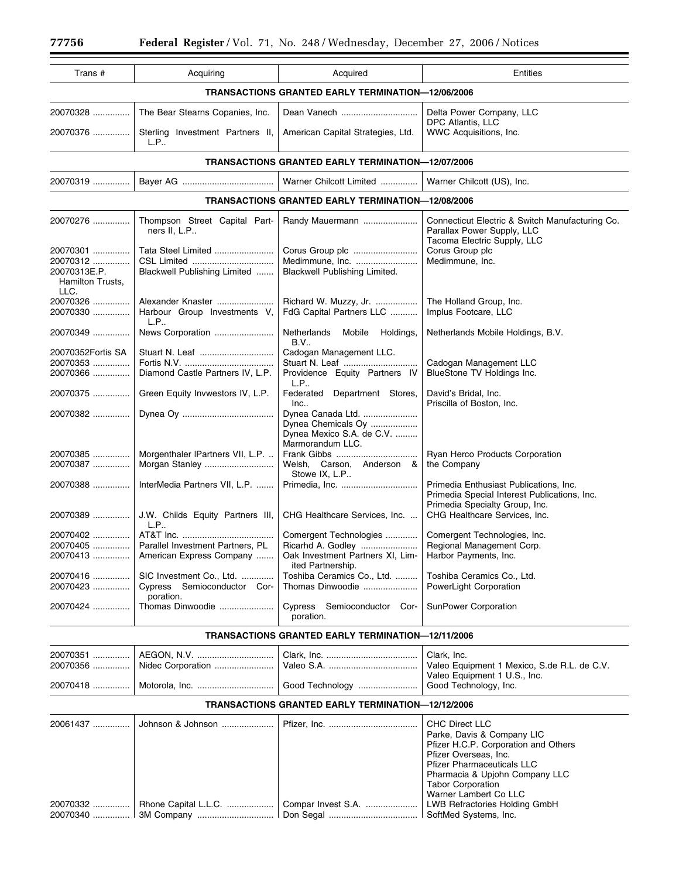| Trans #                                                  | Acquiring                                                | Acquired                                                                                 | Entities                                                                                                             |  |  |  |
|----------------------------------------------------------|----------------------------------------------------------|------------------------------------------------------------------------------------------|----------------------------------------------------------------------------------------------------------------------|--|--|--|
| <b>TRANSACTIONS GRANTED EARLY TERMINATION-12/06/2006</b> |                                                          |                                                                                          |                                                                                                                      |  |  |  |
| 20070328                                                 | The Bear Stearns Copanies, Inc.                          | Dean Vanech                                                                              | Delta Power Company, LLC                                                                                             |  |  |  |
| 20070376                                                 | Sterling Investment Partners II,<br>L.P                  | American Capital Strategies, Ltd.                                                        | DPC Atlantis, LLC<br>WWC Acquisitions, Inc.                                                                          |  |  |  |
|                                                          |                                                          | <b>TRANSACTIONS GRANTED EARLY TERMINATION-12/07/2006</b>                                 |                                                                                                                      |  |  |  |
| 20070319                                                 |                                                          | Warner Chilcott Limited                                                                  | Warner Chilcott (US), Inc.                                                                                           |  |  |  |
|                                                          | <b>TRANSACTIONS GRANTED EARLY TERMINATION-12/08/2006</b> |                                                                                          |                                                                                                                      |  |  |  |
| 20070276                                                 | Thompson Street Capital Part-                            | Randy Mauermann                                                                          | Connecticut Electric & Switch Manufacturing Co.                                                                      |  |  |  |
|                                                          | ners II, L.P                                             |                                                                                          | Parallax Power Supply, LLC<br>Tacoma Electric Supply, LLC                                                            |  |  |  |
| 20070301                                                 | Tata Steel Limited                                       |                                                                                          | Corus Group plc                                                                                                      |  |  |  |
| 20070312                                                 | CSL Limited                                              | Medimmune, Inc.                                                                          | Medimmune, Inc.                                                                                                      |  |  |  |
| 20070313E.P.<br>Hamilton Trusts,                         | Blackwell Publishing Limited                             | Blackwell Publishing Limited.                                                            |                                                                                                                      |  |  |  |
| LLC.<br>20070326                                         | Alexander Knaster                                        | Richard W. Muzzy, Jr.                                                                    | The Holland Group, Inc.                                                                                              |  |  |  |
| 20070330                                                 | Harbour Group Investments V,<br>L.P                      | FdG Capital Partners LLC                                                                 | Implus Footcare, LLC                                                                                                 |  |  |  |
| 20070349                                                 | News Corporation                                         | Netherlands<br>Mobile<br>Holdings,<br>B.V                                                | Netherlands Mobile Holdings, B.V.                                                                                    |  |  |  |
| 20070352Fortis SA                                        |                                                          | Cadogan Management LLC.                                                                  |                                                                                                                      |  |  |  |
| 20070353<br>20070366                                     | Diamond Castle Partners IV, L.P.                         | Stuart N. Leaf<br>Providence Equity Partners IV                                          | Cadogan Management LLC<br>BlueStone TV Holdings Inc.                                                                 |  |  |  |
| 20070375                                                 | Green Equity Invwestors IV, L.P.                         | L.P<br>Federated Department Stores,<br>Inc.                                              | David's Bridal, Inc.<br>Priscilla of Boston, Inc.                                                                    |  |  |  |
| 20070382                                                 |                                                          | Dynea Canada Ltd.<br>Dynea Chemicals Oy<br>Dynea Mexico S.A. de C.V.<br>Marmorandum LLC. |                                                                                                                      |  |  |  |
| 20070385<br>20070387                                     | Morgenthaler IPartners VII, L.P.<br>Morgan Stanley       | Welsh, Carson, Anderson &<br>Stowe IX, L.P                                               | Ryan Herco Products Corporation<br>the Company                                                                       |  |  |  |
| 20070388                                                 | InterMedia Partners VII, L.P.                            |                                                                                          | Primedia Enthusiast Publications, Inc.<br>Primedia Special Interest Publications, Inc.                               |  |  |  |
| 20070389                                                 | J.W. Childs Equity Partners III,<br>L.P                  | CHG Healthcare Services, Inc.                                                            | Primedia Specialty Group, Inc.<br>CHG Healthcare Services, Inc.                                                      |  |  |  |
| 20070402                                                 |                                                          | Comergent Technologies                                                                   | Comergent Technologies, Inc.                                                                                         |  |  |  |
| 20070405                                                 | Parallel Investment Partners, PL                         | Ricarhd A. Godley                                                                        | Regional Management Corp.                                                                                            |  |  |  |
| 20070413                                                 | American Express Company                                 | Oak Investment Partners XI, Lim-<br>ited Partnership.                                    | Harbor Payments, Inc.                                                                                                |  |  |  |
| 20070416<br>20070423                                     | SIC Investment Co., Ltd.<br>Cypress Semioconductor Cor-  | Toshiba Ceramics Co., Ltd.<br>Thomas Dinwoodie                                           | Toshiba Ceramics Co., Ltd.<br>PowerLight Corporation                                                                 |  |  |  |
| 20070424                                                 | poration.<br>Thomas Dinwoodie                            | Cypress Semioconductor Cor-<br>poration.                                                 | SunPower Corporation                                                                                                 |  |  |  |
| <b>TRANSACTIONS GRANTED EARLY TERMINATION-12/11/2006</b> |                                                          |                                                                                          |                                                                                                                      |  |  |  |
| 20070351                                                 |                                                          |                                                                                          | Clark, Inc.                                                                                                          |  |  |  |
| 20070356                                                 | Nidec Corporation                                        |                                                                                          | Valeo Equipment 1 Mexico, S.de R.L. de C.V.                                                                          |  |  |  |
| 20070418                                                 |                                                          | Good Technology                                                                          | Valeo Equipment 1 U.S., Inc.<br>Good Technology, Inc.                                                                |  |  |  |
| <b>TRANSACTIONS GRANTED EARLY TERMINATION-12/12/2006</b> |                                                          |                                                                                          |                                                                                                                      |  |  |  |
| 20061437                                                 | Johnson & Johnson                                        |                                                                                          | <b>CHC Direct LLC</b><br>Parke, Davis & Company LIC<br>Pfizer H.C.P. Corporation and Others<br>Pfizer Overseas, Inc. |  |  |  |

20070332 ................ | Rhone Capital L.L.C. .................... | Compar Invest S.A. ...................

20070340 ............... 3M Company ............................... Don Segal .................................... SoftMed Systems, Inc.

Pfizer Pharmaceuticals LLC Pharmacia & Upjohn Company LLC

Warner Lambert Co LLC<br>LWB Refractories Holding GmbH

Tabor Corporation